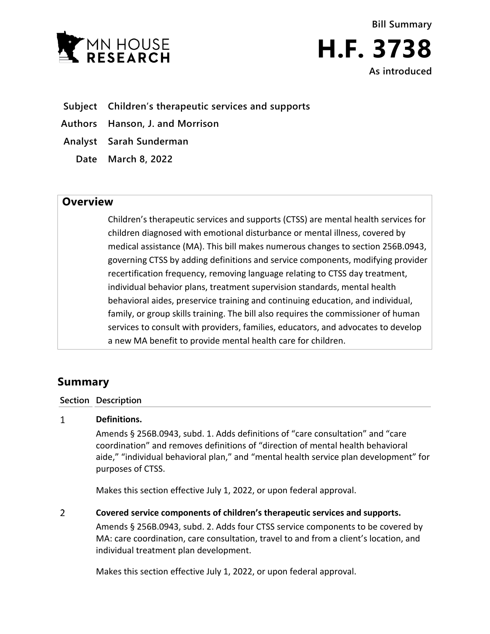

**Bill Summary H.F. 3738 As introduced**

- **Subject Children's therapeutic services and supports**
- **Authors Hanson, J. and Morrison**
- **Analyst Sarah Sunderman**
	- **Date March 8, 2022**

## **Overview**

Children's therapeutic services and supports (CTSS) are mental health services for children diagnosed with emotional disturbance or mental illness, covered by medical assistance (MA). This bill makes numerous changes to section 256B.0943, governing CTSS by adding definitions and service components, modifying provider recertification frequency, removing language relating to CTSS day treatment, individual behavior plans, treatment supervision standards, mental health behavioral aides, preservice training and continuing education, and individual, family, or group skills training. The bill also requires the commissioner of human services to consult with providers, families, educators, and advocates to develop a new MA benefit to provide mental health care for children.

# **Summary**

### **Section Description**

#### $\mathbf{1}$ **Definitions.**

Amends § 256B.0943, subd. 1. Adds definitions of "care consultation" and "care coordination" and removes definitions of "direction of mental health behavioral aide," "individual behavioral plan," and "mental health service plan development" for purposes of CTSS.

Makes this section effective July 1, 2022, or upon federal approval.

 $\overline{2}$ **Covered service components of children's therapeutic services and supports.**

> Amends § 256B.0943, subd. 2. Adds four CTSS service components to be covered by MA: care coordination, care consultation, travel to and from a client's location, and individual treatment plan development.

Makes this section effective July 1, 2022, or upon federal approval.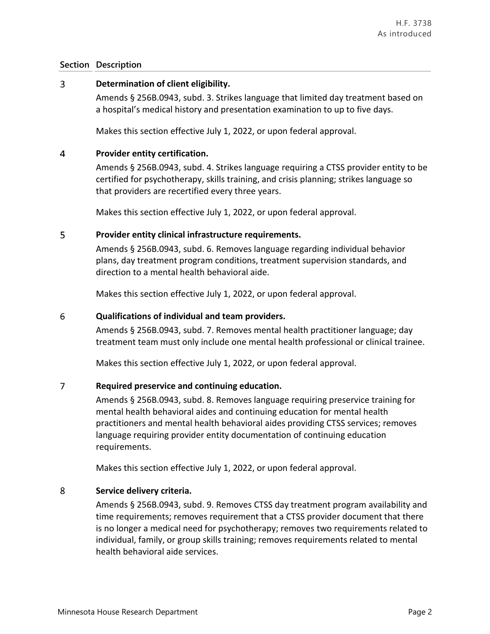### **Section Description**

#### 3 **Determination of client eligibility.**

Amends § 256B.0943, subd. 3. Strikes language that limited day treatment based on a hospital's medical history and presentation examination to up to five days.

Makes this section effective July 1, 2022, or upon federal approval.

#### $\overline{4}$ **Provider entity certification.**

Amends § 256B.0943, subd. 4. Strikes language requiring a CTSS provider entity to be certified for psychotherapy, skills training, and crisis planning; strikes language so that providers are recertified every three years.

Makes this section effective July 1, 2022, or upon federal approval.

#### 5 **Provider entity clinical infrastructure requirements.**

Amends § 256B.0943, subd. 6. Removes language regarding individual behavior plans, day treatment program conditions, treatment supervision standards, and direction to a mental health behavioral aide.

Makes this section effective July 1, 2022, or upon federal approval.

#### 6 **Qualifications of individual and team providers.**

Amends § 256B.0943, subd. 7. Removes mental health practitioner language; day treatment team must only include one mental health professional or clinical trainee.

Makes this section effective July 1, 2022, or upon federal approval.

#### $\overline{7}$ **Required preservice and continuing education.**

Amends § 256B.0943, subd. 8. Removes language requiring preservice training for mental health behavioral aides and continuing education for mental health practitioners and mental health behavioral aides providing CTSS services; removes language requiring provider entity documentation of continuing education requirements.

Makes this section effective July 1, 2022, or upon federal approval.

#### $\overline{8}$ **Service delivery criteria.**

Amends § 256B.0943, subd. 9. Removes CTSS day treatment program availability and time requirements; removes requirement that a CTSS provider document that there is no longer a medical need for psychotherapy; removes two requirements related to individual, family, or group skills training; removes requirements related to mental health behavioral aide services.